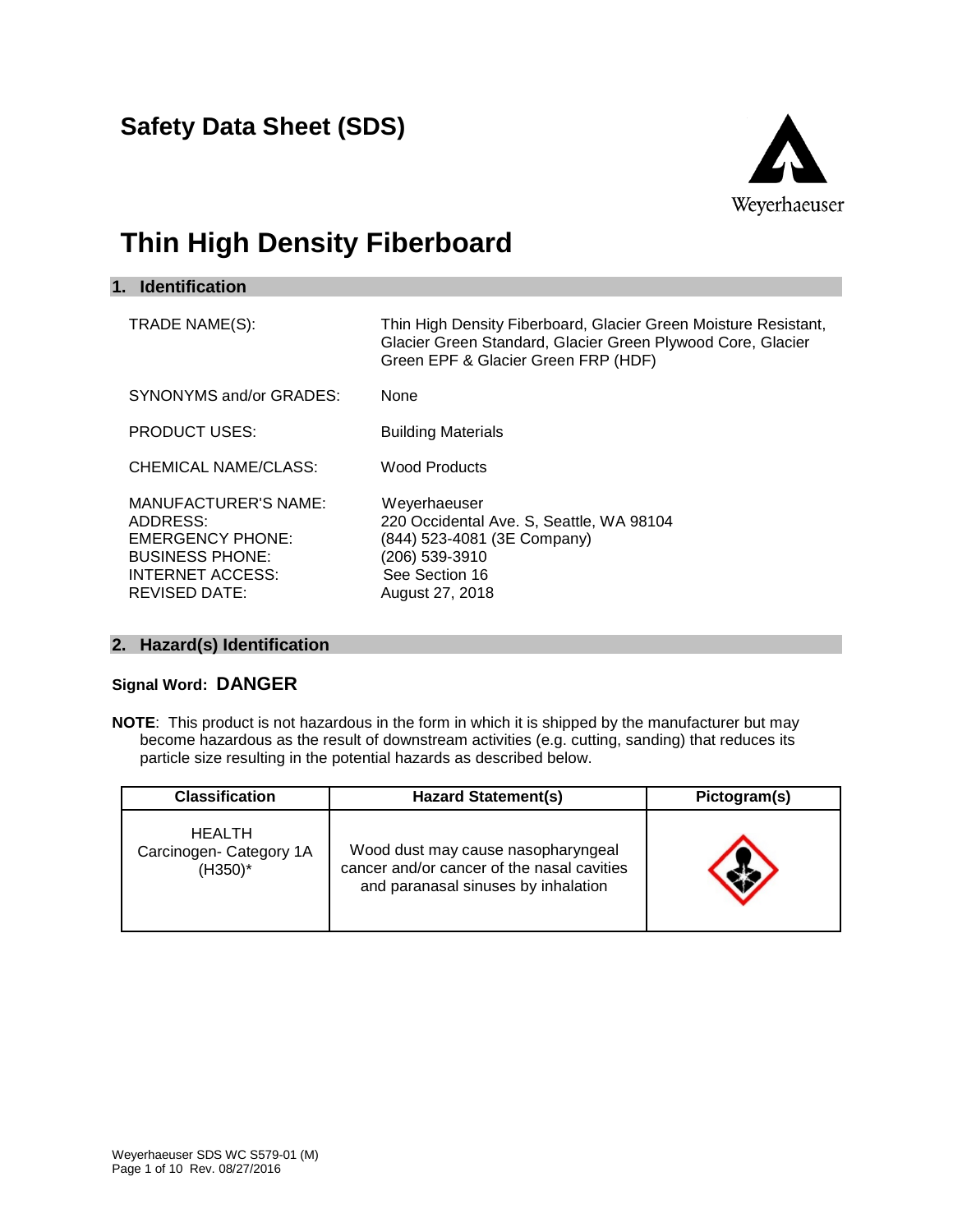**Safety Data Sheet (SDS)**



# **Thin High Density Fiberboard**

| <b>Identification</b><br>1.                                                                                                              |                                                                                                                                                                       |
|------------------------------------------------------------------------------------------------------------------------------------------|-----------------------------------------------------------------------------------------------------------------------------------------------------------------------|
| TRADE NAME(S):                                                                                                                           | Thin High Density Fiberboard, Glacier Green Moisture Resistant,<br>Glacier Green Standard, Glacier Green Plywood Core, Glacier<br>Green EPF & Glacier Green FRP (HDF) |
| SYNONYMS and/or GRADES:                                                                                                                  | None                                                                                                                                                                  |
| <b>PRODUCT USES:</b>                                                                                                                     | <b>Building Materials</b>                                                                                                                                             |
| CHEMICAL NAME/CLASS:                                                                                                                     | <b>Wood Products</b>                                                                                                                                                  |
| <b>MANUFACTURER'S NAME:</b><br>ADDRESS:<br><b>EMERGENCY PHONE:</b><br><b>BUSINESS PHONE:</b><br>INTERNET ACCESS:<br><b>REVISED DATE:</b> | Weyerhaeuser<br>220 Occidental Ave. S, Seattle, WA 98104<br>(844) 523-4081 (3E Company)<br>(206) 539-3910<br>See Section 16<br>August 27, 2018                        |

#### **2. Hazard(s) Identification**

### **Signal Word: DANGER**

**NOTE**: This product is not hazardous in the form in which it is shipped by the manufacturer but may become hazardous as the result of downstream activities (e.g. cutting, sanding) that reduces its particle size resulting in the potential hazards as described below.

| <b>Classification</b>                                  | <b>Hazard Statement(s)</b>                                                                                              | Pictogram(s) |
|--------------------------------------------------------|-------------------------------------------------------------------------------------------------------------------------|--------------|
| <b>HEALTH</b><br>Carcinogen- Category 1A<br>$(H350)^*$ | Wood dust may cause nasopharyngeal<br>cancer and/or cancer of the nasal cavities<br>and paranasal sinuses by inhalation |              |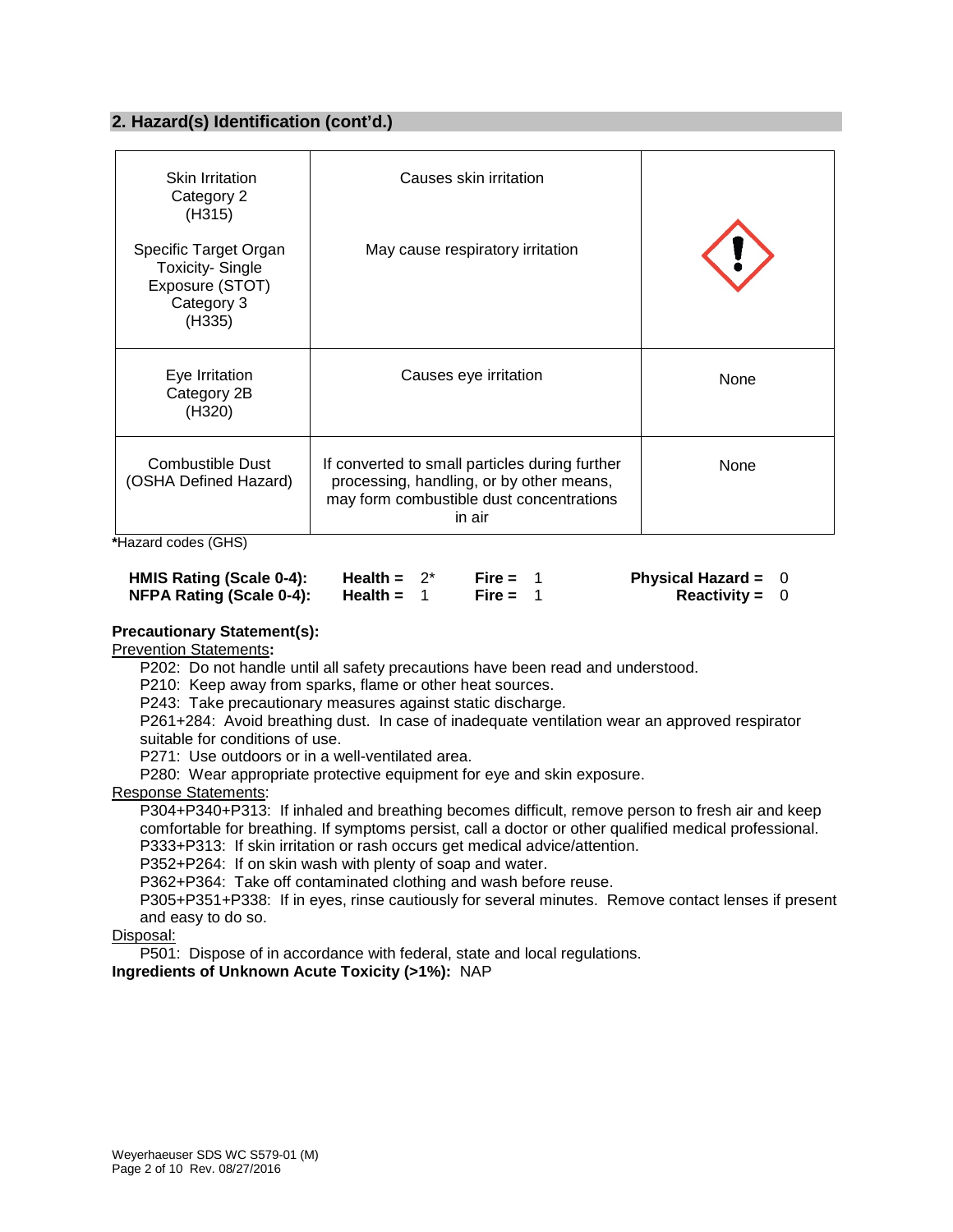#### **2. Hazard(s) Identification (cont'd.)**

| <b>Skin Irritation</b><br>Category 2<br>(H315)                                             | Causes skin irritation                                                                                                                           |      |
|--------------------------------------------------------------------------------------------|--------------------------------------------------------------------------------------------------------------------------------------------------|------|
| Specific Target Organ<br><b>Toxicity-Single</b><br>Exposure (STOT)<br>Category 3<br>(H335) | May cause respiratory irritation                                                                                                                 |      |
| Eye Irritation<br>Category 2B<br>(H320)                                                    | Causes eye irritation                                                                                                                            | None |
| Combustible Dust<br>(OSHA Defined Hazard)                                                  | If converted to small particles during further<br>processing, handling, or by other means,<br>may form combustible dust concentrations<br>in air | None |

**\***Hazard codes (GHS)

| HMIS Rating (Scale 0-4):        | Health = $2^*$ | Fire = $1$ | <b>Physical Hazard = <math>0</math></b> |  |
|---------------------------------|----------------|------------|-----------------------------------------|--|
| <b>NFPA Rating (Scale 0-4):</b> | Health =       | Fire = $1$ | <b>Reactivity = 0</b>                   |  |

#### **Precautionary Statement(s):**

Prevention Statements**:**

P202: Do not handle until all safety precautions have been read and understood.

P210: Keep away from sparks, flame or other heat sources.

P243: Take precautionary measures against static discharge.

P261+284: Avoid breathing dust. In case of inadequate ventilation wear an approved respirator suitable for conditions of use.

P271: Use outdoors or in a well-ventilated area.

P280: Wear appropriate protective equipment for eye and skin exposure.

#### Response Statements:

P304+P340+P313: If inhaled and breathing becomes difficult, remove person to fresh air and keep comfortable for breathing. If symptoms persist, call a doctor or other qualified medical professional. P333+P313: If skin irritation or rash occurs get medical advice/attention.

P352+P264: If on skin wash with plenty of soap and water.

P362+P364: Take off contaminated clothing and wash before reuse.

P305+P351+P338: If in eyes, rinse cautiously for several minutes. Remove contact lenses if present and easy to do so.

Disposal:

P501: Dispose of in accordance with federal, state and local regulations.

**Ingredients of Unknown Acute Toxicity (>1%):** NAP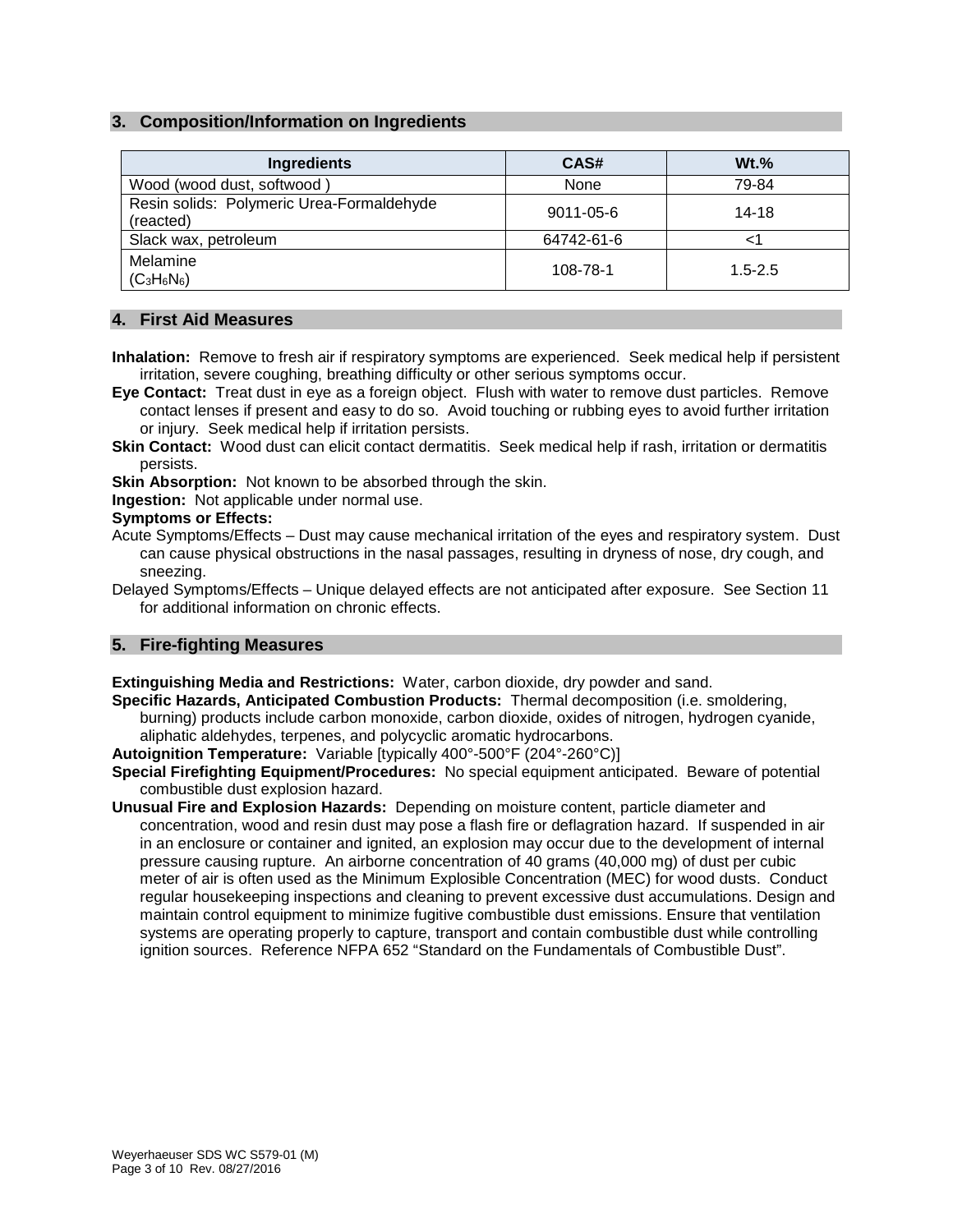#### **3. Composition/Information on Ingredients**

| <b>Ingredients</b>                                     | CAS#            | $Wt.$ %     |
|--------------------------------------------------------|-----------------|-------------|
| Wood (wood dust, softwood)                             | None            | 79-84       |
| Resin solids: Polymeric Urea-Formaldehyde<br>(reacted) | $9011 - 05 - 6$ | 14-18       |
| Slack wax, petroleum                                   | 64742-61-6      |             |
| Melamine<br>$(C_3H_6N_6)$                              | 108-78-1        | $1.5 - 2.5$ |

#### **4. First Aid Measures**

- **Inhalation:** Remove to fresh air if respiratory symptoms are experienced. Seek medical help if persistent irritation, severe coughing, breathing difficulty or other serious symptoms occur.
- **Eye Contact:** Treat dust in eye as a foreign object. Flush with water to remove dust particles. Remove contact lenses if present and easy to do so. Avoid touching or rubbing eyes to avoid further irritation or injury. Seek medical help if irritation persists.
- **Skin Contact:** Wood dust can elicit contact dermatitis. Seek medical help if rash, irritation or dermatitis persists.
- **Skin Absorption:** Not known to be absorbed through the skin.
- **Ingestion:** Not applicable under normal use.

#### **Symptoms or Effects:**

- Acute Symptoms/Effects Dust may cause mechanical irritation of the eyes and respiratory system. Dust can cause physical obstructions in the nasal passages, resulting in dryness of nose, dry cough, and sneezing.
- Delayed Symptoms/Effects Unique delayed effects are not anticipated after exposure. See Section 11 for additional information on chronic effects.

#### **5. Fire-fighting Measures**

**Extinguishing Media and Restrictions:** Water, carbon dioxide, dry powder and sand.

**Specific Hazards, Anticipated Combustion Products:** Thermal decomposition (i.e. smoldering, burning) products include carbon monoxide, carbon dioxide, oxides of nitrogen, hydrogen cyanide, aliphatic aldehydes, terpenes, and polycyclic aromatic hydrocarbons.

**Autoignition Temperature:** Variable [typically 400°-500°F (204°-260°C)]

- **Special Firefighting Equipment/Procedures:** No special equipment anticipated. Beware of potential combustible dust explosion hazard.
- **Unusual Fire and Explosion Hazards:** Depending on moisture content, particle diameter and concentration, wood and resin dust may pose a flash fire or deflagration hazard. If suspended in air in an enclosure or container and ignited, an explosion may occur due to the development of internal pressure causing rupture. An airborne concentration of 40 grams (40,000 mg) of dust per cubic meter of air is often used as the Minimum Explosible Concentration (MEC) for wood dusts. Conduct regular housekeeping inspections and cleaning to prevent excessive dust accumulations. Design and maintain control equipment to minimize fugitive combustible dust emissions. Ensure that ventilation systems are operating properly to capture, transport and contain combustible dust while controlling ignition sources. Reference NFPA 652 "Standard on the Fundamentals of Combustible Dust".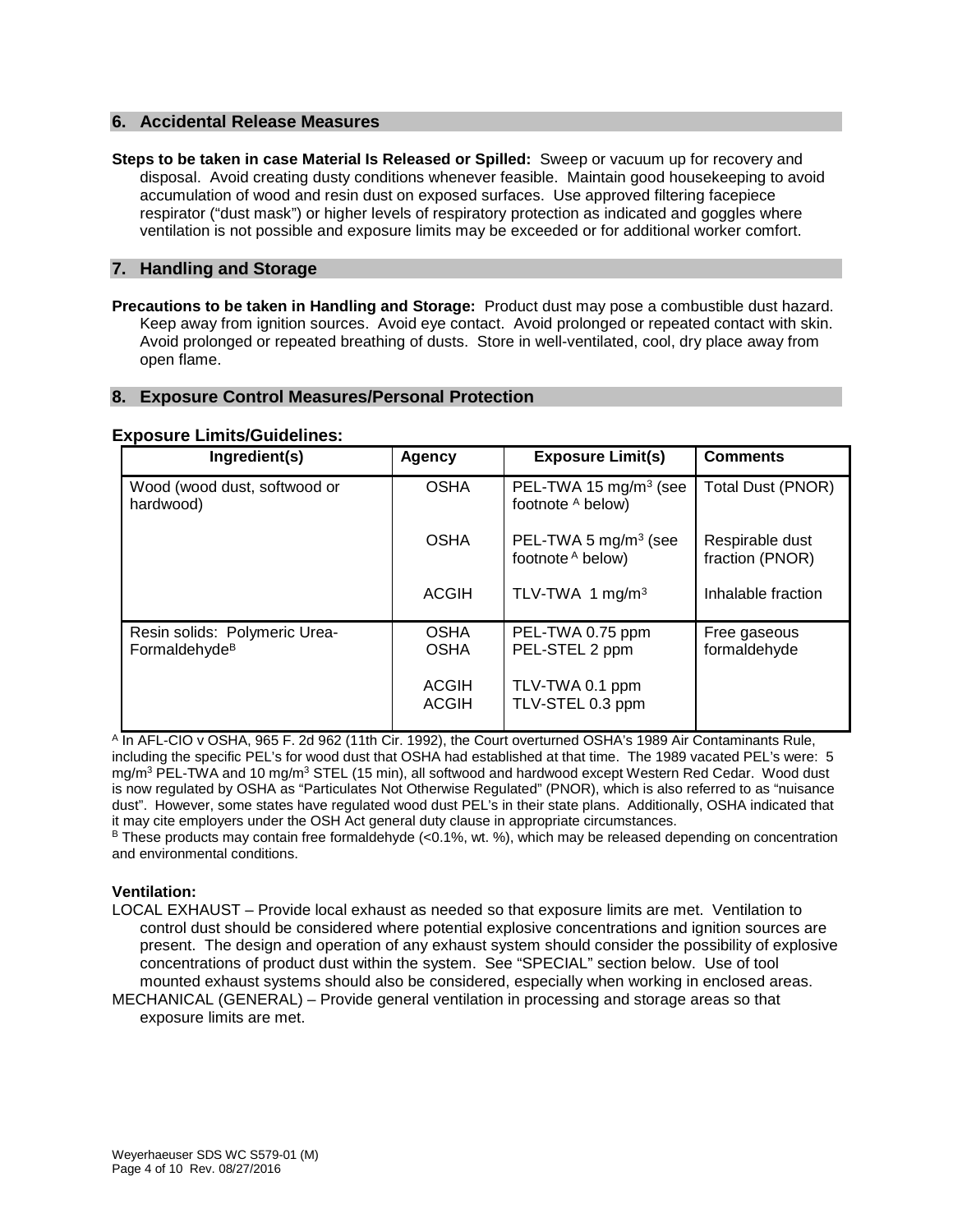#### **6. Accidental Release Measures**

**Steps to be taken in case Material Is Released or Spilled:** Sweep or vacuum up for recovery and disposal. Avoid creating dusty conditions whenever feasible. Maintain good housekeeping to avoid accumulation of wood and resin dust on exposed surfaces. Use approved filtering facepiece respirator ("dust mask") or higher levels of respiratory protection as indicated and goggles where ventilation is not possible and exposure limits may be exceeded or for additional worker comfort.

#### **7. Handling and Storage**

**Precautions to be taken in Handling and Storage:** Product dust may pose a combustible dust hazard. Keep away from ignition sources. Avoid eye contact. Avoid prolonged or repeated contact with skin. Avoid prolonged or repeated breathing of dusts. Store in well-ventilated, cool, dry place away from open flame.

#### **8. Exposure Control Measures/Personal Protection**

#### **Exposure Limits/Guidelines:**

| Ingredient(s)                                              | Agency                       | <b>Exposure Limit(s)</b>                               | <b>Comments</b>                    |
|------------------------------------------------------------|------------------------------|--------------------------------------------------------|------------------------------------|
| Wood (wood dust, softwood or<br>hardwood)                  | <b>OSHA</b>                  | PEL-TWA 15 mg/m <sup>3</sup> (see<br>footnote A below) | <b>Total Dust (PNOR)</b>           |
|                                                            | <b>OSHA</b>                  | PEL-TWA 5 $mg/m3$ (see<br>footnote A below)            | Respirable dust<br>fraction (PNOR) |
|                                                            | <b>ACGIH</b>                 | TLV-TWA 1 mg/m <sup>3</sup>                            | Inhalable fraction                 |
| Resin solids: Polymeric Urea-<br>Formaldehyde <sup>B</sup> | <b>OSHA</b><br><b>OSHA</b>   | PEL-TWA 0.75 ppm<br>PEL-STEL 2 ppm                     | Free gaseous<br>formaldehyde       |
|                                                            | <b>ACGIH</b><br><b>ACGIH</b> | TLV-TWA 0.1 ppm<br>TLV-STEL 0.3 ppm                    |                                    |

<sup>A</sup> In AFL-CIO v OSHA, 965 F. 2d 962 (11th Cir. 1992), the Court overturned OSHA's 1989 Air Contaminants Rule, including the specific PEL's for wood dust that OSHA had established at that time. The 1989 vacated PEL's were: 5 mg/m<sup>3</sup> PEL-TWA and 10 mg/m<sup>3</sup> STEL (15 min), all softwood and hardwood except Western Red Cedar. Wood dust is now regulated by OSHA as "Particulates Not Otherwise Regulated" (PNOR), which is also referred to as "nuisance dust". However, some states have regulated wood dust PEL's in their state plans. Additionally, OSHA indicated that it may cite employers under the OSH Act general duty clause in appropriate circumstances.

 $B$  These products may contain free formaldehyde (<0.1%, wt. %), which may be released depending on concentration and environmental conditions.

#### **Ventilation:**

LOCAL EXHAUST – Provide local exhaust as needed so that exposure limits are met. Ventilation to control dust should be considered where potential explosive concentrations and ignition sources are present. The design and operation of any exhaust system should consider the possibility of explosive concentrations of product dust within the system. See "SPECIAL" section below. Use of tool mounted exhaust systems should also be considered, especially when working in enclosed areas.

MECHANICAL (GENERAL) – Provide general ventilation in processing and storage areas so that exposure limits are met.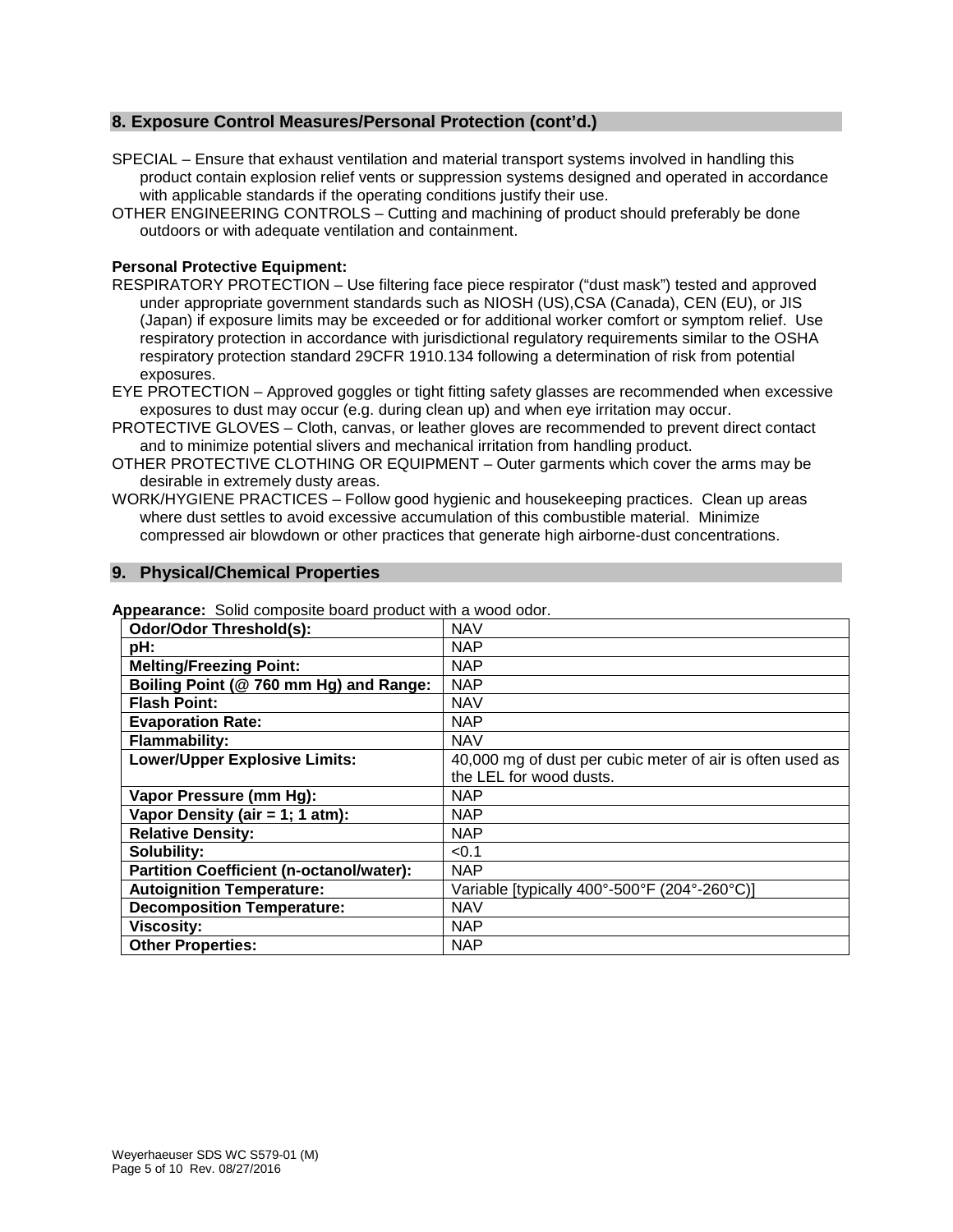#### **8. Exposure Control Measures/Personal Protection (cont'd.)**

- SPECIAL Ensure that exhaust ventilation and material transport systems involved in handling this product contain explosion relief vents or suppression systems designed and operated in accordance with applicable standards if the operating conditions justify their use.
- OTHER ENGINEERING CONTROLS Cutting and machining of product should preferably be done outdoors or with adequate ventilation and containment.

#### **Personal Protective Equipment:**

- RESPIRATORY PROTECTION Use filtering face piece respirator ("dust mask") tested and approved under appropriate government standards such as NIOSH (US),CSA (Canada), CEN (EU), or JIS (Japan) if exposure limits may be exceeded or for additional worker comfort or symptom relief. Use respiratory protection in accordance with jurisdictional regulatory requirements similar to the OSHA respiratory protection standard 29CFR 1910.134 following a determination of risk from potential exposures.
- EYE PROTECTION Approved goggles or tight fitting safety glasses are recommended when excessive exposures to dust may occur (e.g. during clean up) and when eye irritation may occur.
- PROTECTIVE GLOVES Cloth, canvas, or leather gloves are recommended to prevent direct contact and to minimize potential slivers and mechanical irritation from handling product.
- OTHER PROTECTIVE CLOTHING OR EQUIPMENT Outer garments which cover the arms may be desirable in extremely dusty areas.
- WORK/HYGIENE PRACTICES Follow good hygienic and housekeeping practices. Clean up areas where dust settles to avoid excessive accumulation of this combustible material. Minimize compressed air blowdown or other practices that generate high airborne-dust concentrations.

#### **9. Physical/Chemical Properties**

| <b>Odor/Odor Threshold(s):</b>                  | <b>NAV</b>                                                |
|-------------------------------------------------|-----------------------------------------------------------|
| pH:                                             | <b>NAP</b>                                                |
| <b>Melting/Freezing Point:</b>                  | <b>NAP</b>                                                |
| Boiling Point (@ 760 mm Hg) and Range:          | <b>NAP</b>                                                |
| <b>Flash Point:</b>                             | <b>NAV</b>                                                |
| <b>Evaporation Rate:</b>                        | <b>NAP</b>                                                |
| <b>Flammability:</b>                            | <b>NAV</b>                                                |
| <b>Lower/Upper Explosive Limits:</b>            | 40,000 mg of dust per cubic meter of air is often used as |
|                                                 | the LEL for wood dusts.                                   |
| Vapor Pressure (mm Hg):                         | <b>NAP</b>                                                |
| Vapor Density (air = 1; 1 atm):                 | <b>NAP</b>                                                |
| <b>Relative Density:</b>                        | <b>NAP</b>                                                |
| Solubility:                                     | < 0.1                                                     |
| <b>Partition Coefficient (n-octanol/water):</b> | <b>NAP</b>                                                |
| <b>Autoignition Temperature:</b>                | Variable [typically 400°-500°F (204°-260°C)]              |
| <b>Decomposition Temperature:</b>               | <b>NAV</b>                                                |
| <b>Viscosity:</b>                               | <b>NAP</b>                                                |
| <b>Other Properties:</b>                        | <b>NAP</b>                                                |

**Appearance:** Solid composite board product with a wood odor.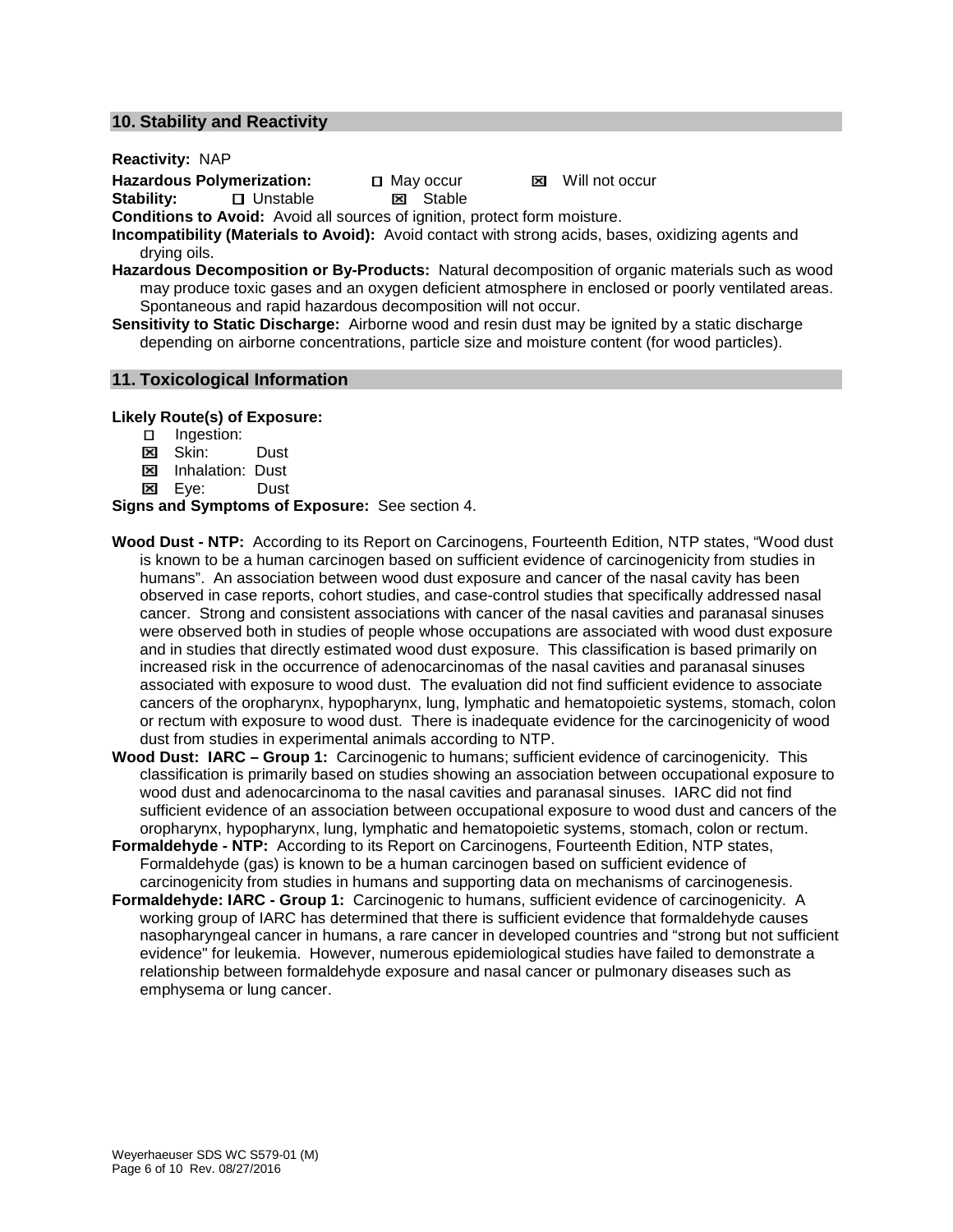#### **10. Stability and Reactivity**

**Reactivity:** NAP

Hazardous Polymerization: 
<br> **Stability:** 
<br> **Stability:** 
<br> **Stability:** 
<br> **May occur** 
<br> **May occur El** Unstable

**Conditions to Avoid:** Avoid all sources of ignition, protect form moisture.

**Incompatibility (Materials to Avoid):** Avoid contact with strong acids, bases, oxidizing agents and drying oils.

**Hazardous Decomposition or By-Products:** Natural decomposition of organic materials such as wood may produce toxic gases and an oxygen deficient atmosphere in enclosed or poorly ventilated areas. Spontaneous and rapid hazardous decomposition will not occur.

**Sensitivity to Static Discharge:** Airborne wood and resin dust may be ignited by a static discharge depending on airborne concentrations, particle size and moisture content (for wood particles).

#### **11. Toxicological Information**

**Likely Route(s) of Exposure:**

- **Ingestion:**
- **E** Skin: Dust
- **E** Inhalation: Dust<br> **E** Eve: Dust
- **Eve:**

**Signs and Symptoms of Exposure:** See section 4.

- **Wood Dust - NTP:** According to its Report on Carcinogens, Fourteenth Edition, NTP states, "Wood dust is known to be a human carcinogen based on sufficient evidence of carcinogenicity from studies in humans". An association between wood dust exposure and cancer of the nasal cavity has been observed in case reports, cohort studies, and case-control studies that specifically addressed nasal cancer. Strong and consistent associations with cancer of the nasal cavities and paranasal sinuses were observed both in studies of people whose occupations are associated with wood dust exposure and in studies that directly estimated wood dust exposure. This classification is based primarily on increased risk in the occurrence of adenocarcinomas of the nasal cavities and paranasal sinuses associated with exposure to wood dust. The evaluation did not find sufficient evidence to associate cancers of the oropharynx, hypopharynx, lung, lymphatic and hematopoietic systems, stomach, colon or rectum with exposure to wood dust. There is inadequate evidence for the carcinogenicity of wood dust from studies in experimental animals according to NTP.
- **Wood Dust: IARC – Group 1:** Carcinogenic to humans; sufficient evidence of carcinogenicity. This classification is primarily based on studies showing an association between occupational exposure to wood dust and adenocarcinoma to the nasal cavities and paranasal sinuses. IARC did not find sufficient evidence of an association between occupational exposure to wood dust and cancers of the oropharynx, hypopharynx, lung, lymphatic and hematopoietic systems, stomach, colon or rectum.
- **Formaldehyde - NTP:** According to its Report on Carcinogens, Fourteenth Edition, NTP states, Formaldehyde (gas) is known to be a human carcinogen based on sufficient evidence of carcinogenicity from studies in humans and supporting data on mechanisms of carcinogenesis.
- **Formaldehyde: IARC - Group 1:** Carcinogenic to humans, sufficient evidence of carcinogenicity. A working group of IARC has determined that there is sufficient evidence that formaldehyde causes nasopharyngeal cancer in humans, a rare cancer in developed countries and "strong but not sufficient evidence" for leukemia. However, numerous epidemiological studies have failed to demonstrate a relationship between formaldehyde exposure and nasal cancer or pulmonary diseases such as emphysema or lung cancer.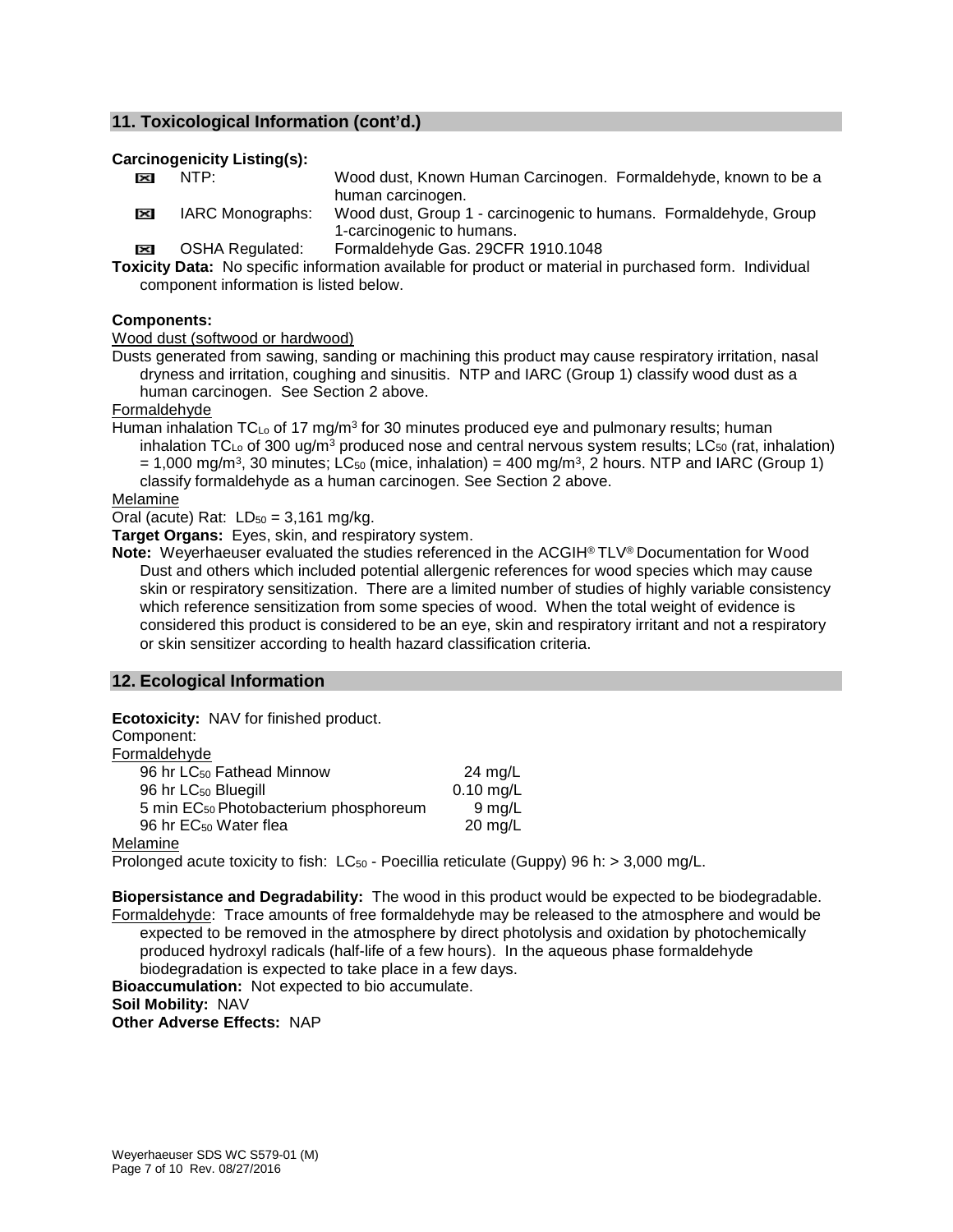#### **11. Toxicological Information (cont'd.)**

#### **Carcinogenicity Listing(s):**

- **EXECUPER 19 NTP:** Wood dust, Known Human Carcinogen. Formaldehyde, known to be a human carcinogen.
- IARC Monographs: Wood dust, Group 1 carcinogenic to humans. Formaldehyde, Group 1-carcinogenic to humans.
- OSHA Regulated: Formaldehyde Gas. 29CFR 1910.1048

**Toxicity Data:** No specific information available for product or material in purchased form. Individual component information is listed below.

#### **Components:**

Wood dust (softwood or hardwood)

Dusts generated from sawing, sanding or machining this product may cause respiratory irritation, nasal dryness and irritation, coughing and sinusitis. NTP and IARC (Group 1) classify wood dust as a human carcinogen. See Section 2 above.

Formaldehyde

Human inhalation  $TC_{Lo}$  of 17 mg/m<sup>3</sup> for 30 minutes produced eye and pulmonary results; human inhalation TC<sub>Lo</sub> of 300 ug/m<sup>3</sup> produced nose and central nervous system results; LC<sub>50</sub> (rat, inhalation)  $= 1,000$  mg/m<sup>3</sup>, 30 minutes; LC<sub>50</sub> (mice, inhalation) = 400 mg/m<sup>3</sup>, 2 hours. NTP and IARC (Group 1) classify formaldehyde as a human carcinogen. See Section 2 above.

Melamine

Oral (acute) Rat:  $LD_{50} = 3,161$  mg/kg.

**Target Organs:** Eyes, skin, and respiratory system.

**Note:** Weyerhaeuser evaluated the studies referenced in the ACGIH® TLV® Documentation for Wood Dust and others which included potential allergenic references for wood species which may cause skin or respiratory sensitization. There are a limited number of studies of highly variable consistency which reference sensitization from some species of wood. When the total weight of evidence is considered this product is considered to be an eye, skin and respiratory irritant and not a respiratory or skin sensitizer according to health hazard classification criteria.

#### **12. Ecological Information**

| Ecotoxicity: NAV for finished product.            |             |  |
|---------------------------------------------------|-------------|--|
| Component:                                        |             |  |
| Formaldehyde                                      |             |  |
| 96 hr LC <sub>50</sub> Fathead Minnow             | 24 mg/L     |  |
| 96 hr LC <sub>50</sub> Bluegill                   | $0.10$ mg/L |  |
| 5 min EC <sub>50</sub> Photobacterium phosphoreum | $9$ mg/L    |  |
| 96 hr EC <sub>50</sub> Water flea                 | $20$ mg/L   |  |
| Melamine                                          |             |  |

Prolonged acute toxicity to fish:  $LC_{50}$  - Poecillia reticulate (Guppy) 96 h:  $> 3,000$  mg/L.

**Biopersistance and Degradability:** The wood in this product would be expected to be biodegradable. Formaldehyde: Trace amounts of free formaldehyde may be released to the atmosphere and would be expected to be removed in the atmosphere by direct photolysis and oxidation by photochemically produced hydroxyl radicals (half-life of a few hours). In the aqueous phase formaldehyde biodegradation is expected to take place in a few days. **Bioaccumulation:** Not expected to bio accumulate. **Soil Mobility:** NAV **Other Adverse Effects:** NAP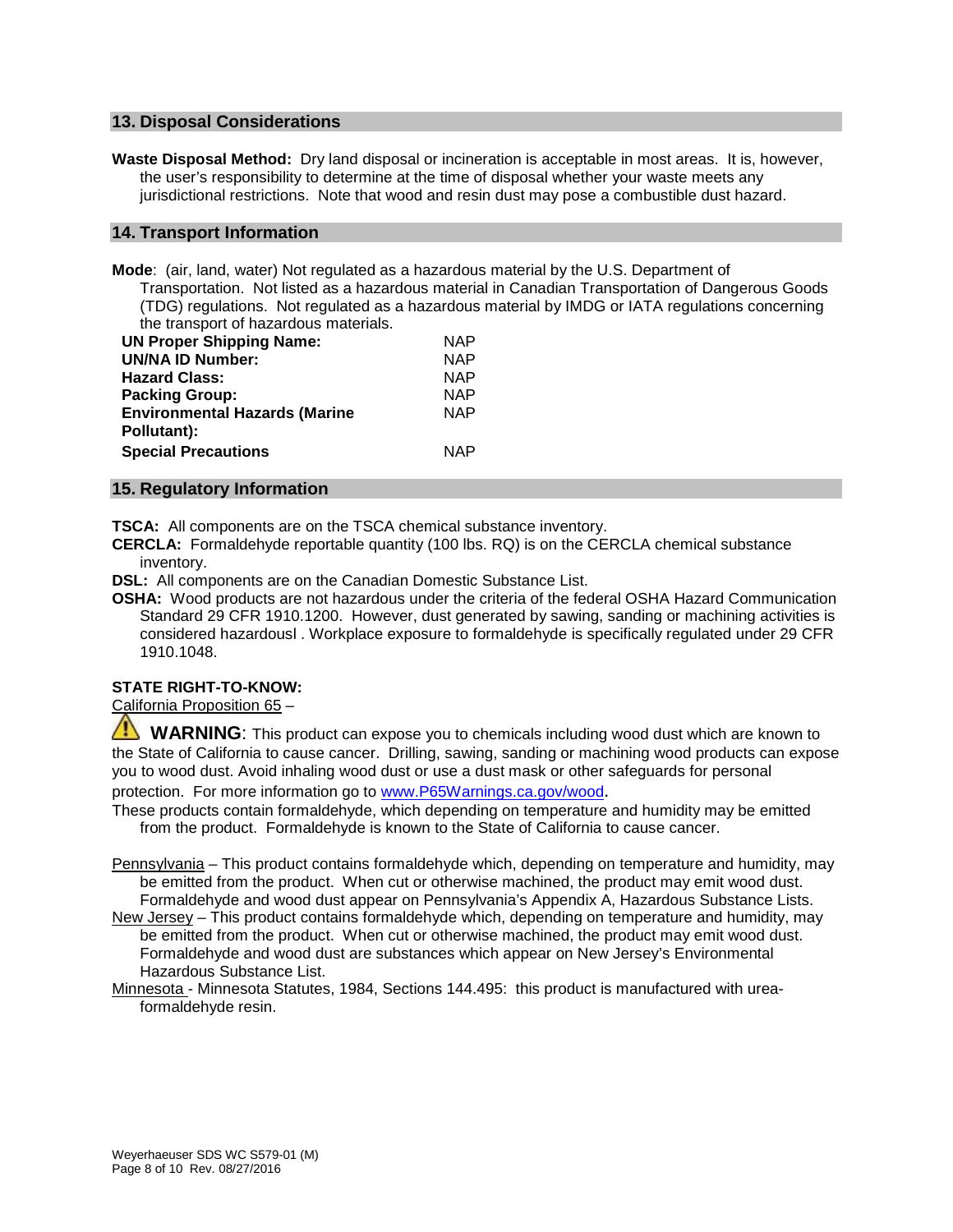#### **13. Disposal Considerations**

**Waste Disposal Method:** Dry land disposal or incineration is acceptable in most areas. It is, however, the user's responsibility to determine at the time of disposal whether your waste meets any jurisdictional restrictions. Note that wood and resin dust may pose a combustible dust hazard.

#### **14. Transport Information**

**Mode**: (air, land, water) Not regulated as a hazardous material by the U.S. Department of Transportation. Not listed as a hazardous material in Canadian Transportation of Dangerous Goods (TDG) regulations. Not regulated as a hazardous material by IMDG or IATA regulations concerning the transport of hazardous materials.

| <b>UN Proper Shipping Name:</b>      | <b>NAP</b> |
|--------------------------------------|------------|
| <b>UN/NA ID Number:</b>              | <b>NAP</b> |
| <b>Hazard Class:</b>                 | <b>NAP</b> |
| <b>Packing Group:</b>                | <b>NAP</b> |
| <b>Environmental Hazards (Marine</b> | <b>NAP</b> |
| Pollutant):                          |            |
| <b>Special Precautions</b>           | <b>NAP</b> |

#### **15. Regulatory Information**

**TSCA:** All components are on the TSCA chemical substance inventory.

**CERCLA:** Formaldehyde reportable quantity (100 lbs. RQ) is on the CERCLA chemical substance inventory.

**DSL:** All components are on the Canadian Domestic Substance List.

**OSHA:** Wood products are not hazardous under the criteria of the federal OSHA Hazard Communication Standard 29 CFR 1910.1200. However, dust generated by sawing, sanding or machining activities is considered hazardousl . Workplace exposure to formaldehyde is specifically regulated under 29 CFR 1910.1048.

#### **STATE RIGHT-TO-KNOW:**

California Proposition 65 –

 **WARNING**: This product can expose you to chemicals including wood dust which are known to the State of California to cause cancer. Drilling, sawing, sanding or machining wood products can expose you to wood dust. Avoid inhaling wood dust or use a dust mask or other safeguards for personal

protection. For more information go to [www.P65Warnings.ca.gov/wood.](http://www.p65warnings.ca.gov/wood)

These products contain formaldehyde, which depending on temperature and humidity may be emitted from the product. Formaldehyde is known to the State of California to cause cancer.

Pennsylvania - This product contains formaldehyde which, depending on temperature and humidity, may be emitted from the product. When cut or otherwise machined, the product may emit wood dust. Formaldehyde and wood dust appear on Pennsylvania's Appendix A, Hazardous Substance Lists.

New Jersey – This product contains formaldehyde which, depending on temperature and humidity, may be emitted from the product. When cut or otherwise machined, the product may emit wood dust. Formaldehyde and wood dust are substances which appear on New Jersey's Environmental Hazardous Substance List.

Minnesota - Minnesota Statutes, 1984, Sections 144.495: this product is manufactured with ureaformaldehyde resin.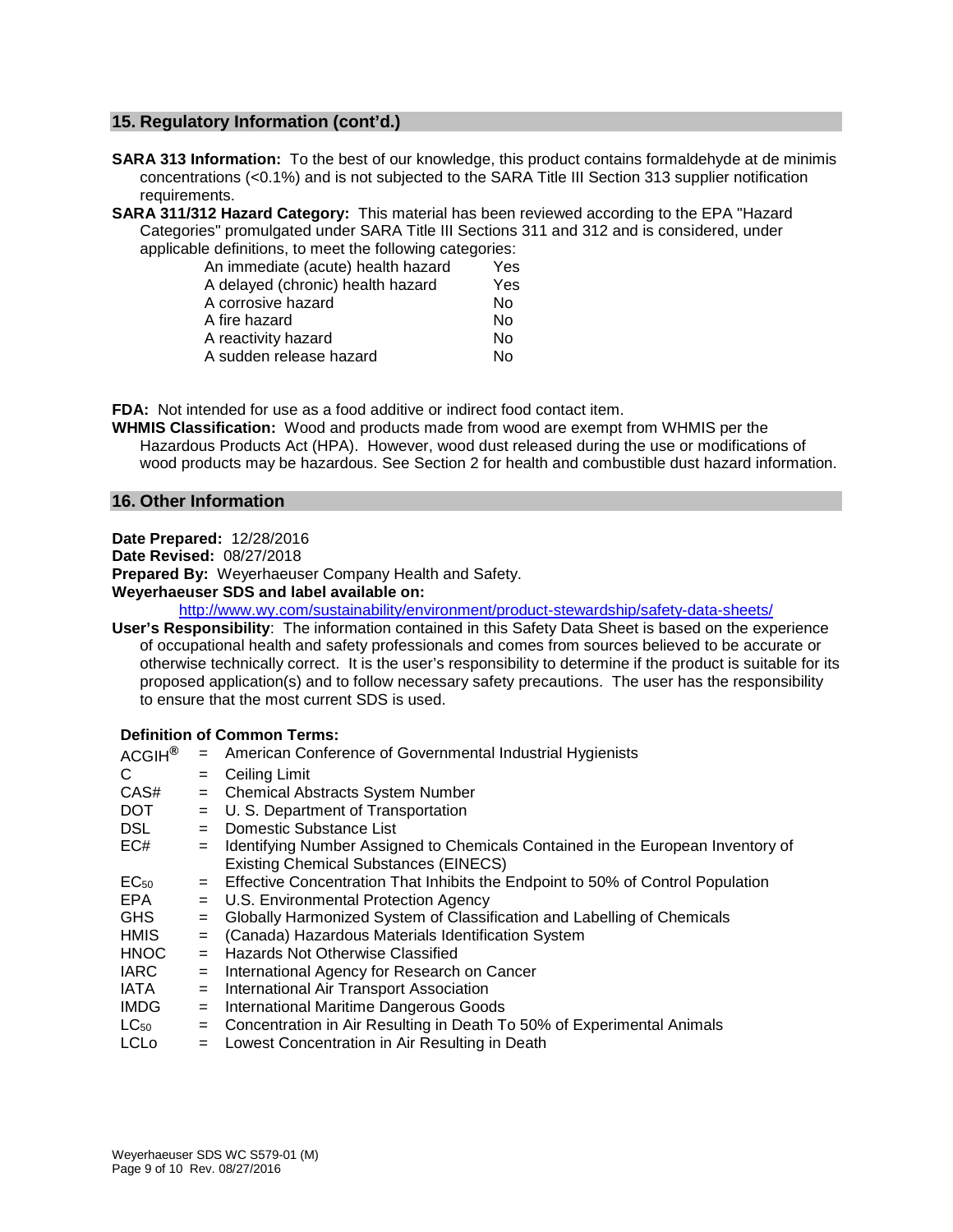#### **15. Regulatory Information (cont'd.)**

- **SARA 313 Information:** To the best of our knowledge, this product contains formaldehyde at de minimis concentrations (<0.1%) and is not subjected to the SARA Title III Section 313 supplier notification requirements.
- **SARA 311/312 Hazard Category:** This material has been reviewed according to the EPA "Hazard Categories" promulgated under SARA Title III Sections 311 and 312 and is considered, under applicable definitions, to meet the following categories:

| An immediate (acute) health hazard | Yes |
|------------------------------------|-----|
| A delayed (chronic) health hazard  | Yes |
| A corrosive hazard                 | No  |
| A fire hazard                      | Nο  |
| A reactivity hazard                | Nο  |
| A sudden release hazard            | N٥  |
|                                    |     |

**FDA:** Not intended for use as a food additive or indirect food contact item.

**WHMIS Classification:** Wood and products made from wood are exempt from WHMIS per the Hazardous Products Act (HPA). However, wood dust released during the use or modifications of wood products may be hazardous. See Section 2 for health and combustible dust hazard information.

#### **16. Other Information**

**Date Prepared:** 12/28/2016

**Date Revised:** 08/27/2018

**Prepared By:** Weyerhaeuser Company Health and Safety.

**Weyerhaeuser SDS and label available on:**

<http://www.wy.com/sustainability/environment/product-stewardship/safety-data-sheets/>

**User's Responsibility**: The information contained in this Safety Data Sheet is based on the experience of occupational health and safety professionals and comes from sources believed to be accurate or otherwise technically correct. It is the user's responsibility to determine if the product is suitable for its proposed application(s) and to follow necessary safety precautions. The user has the responsibility to ensure that the most current SDS is used.

#### **Definition of Common Terms:**

| ACGIH <sup>®</sup> |     | = American Conference of Governmental Industrial Hygienists                       |
|--------------------|-----|-----------------------------------------------------------------------------------|
| С                  | $=$ | <b>Ceiling Limit</b>                                                              |
| CAS#               | $=$ | <b>Chemical Abstracts System Number</b>                                           |
| DOT                | $=$ | U. S. Department of Transportation                                                |
| DSL.               | $=$ | Domestic Substance List                                                           |
| EC#                | $=$ | Identifying Number Assigned to Chemicals Contained in the European Inventory of   |
|                    |     | <b>Existing Chemical Substances (EINECS)</b>                                      |
| EC <sub>50</sub>   |     | = Effective Concentration That Inhibits the Endpoint to 50% of Control Population |
| EPA.               |     | = U.S. Environmental Protection Agency                                            |
| GHS.               | $=$ | Globally Harmonized System of Classification and Labelling of Chemicals           |
| HMIS               | $=$ | (Canada) Hazardous Materials Identification System                                |
| <b>HNOC</b>        | $=$ | <b>Hazards Not Otherwise Classified</b>                                           |
| <b>IARC</b>        | $=$ | International Agency for Research on Cancer                                       |
| IATA               | $=$ | International Air Transport Association                                           |
| <b>IMDG</b>        | $=$ | International Maritime Dangerous Goods                                            |
| $LC_{50}$          | $=$ | Concentration in Air Resulting in Death To 50% of Experimental Animals            |
| $\sim$             |     |                                                                                   |

LCLo = Lowest Concentration in Air Resulting in Death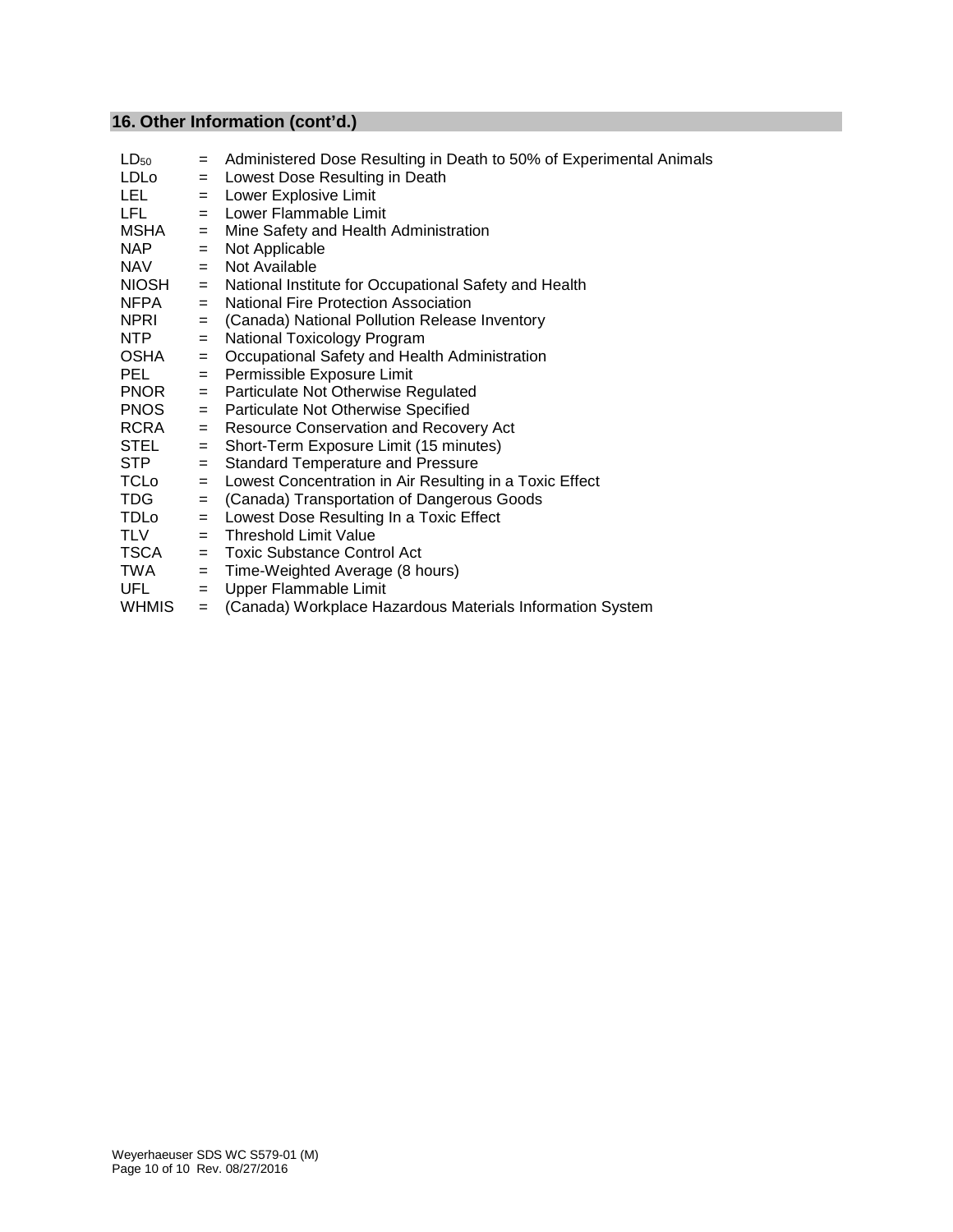# **16. Other Information (cont'd.)**

| $LD_{50}$    | $=$ | Administered Dose Resulting in Death to 50% of Experimental Animals |
|--------------|-----|---------------------------------------------------------------------|
| <b>LDLo</b>  | $=$ | Lowest Dose Resulting in Death                                      |
| LEL.         | $=$ | Lower Explosive Limit                                               |
| LFL.         | $=$ | Lower Flammable Limit                                               |
| MSHA         | $=$ | Mine Safety and Health Administration                               |
| <b>NAP</b>   | $=$ | Not Applicable                                                      |
| <b>NAV</b>   | $=$ | Not Available                                                       |
| <b>NIOSH</b> | $=$ | National Institute for Occupational Safety and Health               |
| NFPA         | $=$ | National Fire Protection Association                                |
| <b>NPRI</b>  | $=$ | (Canada) National Pollution Release Inventory                       |
| NTP          | $=$ | National Toxicology Program                                         |
| OSHA         | $=$ | Occupational Safety and Health Administration                       |
| <b>PEL</b>   | $=$ | Permissible Exposure Limit                                          |
| <b>PNOR</b>  | $=$ | Particulate Not Otherwise Regulated                                 |
| <b>PNOS</b>  | $=$ | Particulate Not Otherwise Specified                                 |
| RCRA         | $=$ | Resource Conservation and Recovery Act                              |
| STEL         | $=$ | Short-Term Exposure Limit (15 minutes)                              |
| <b>STP</b>   | $=$ | <b>Standard Temperature and Pressure</b>                            |
| TCLo         | $=$ | Lowest Concentration in Air Resulting in a Toxic Effect             |
| TDG          | $=$ | (Canada) Transportation of Dangerous Goods                          |
| <b>TDLo</b>  | $=$ | Lowest Dose Resulting In a Toxic Effect                             |
| TLV          | $=$ | <b>Threshold Limit Value</b>                                        |
| <b>TSCA</b>  |     | $=$ Toxic Substance Control Act                                     |
| TWA          | $=$ | Time-Weighted Average (8 hours)                                     |
| UFL          | $=$ | Upper Flammable Limit                                               |
| <b>WHMIS</b> | $=$ | (Canada) Workplace Hazardous Materials Information System           |
|              |     |                                                                     |